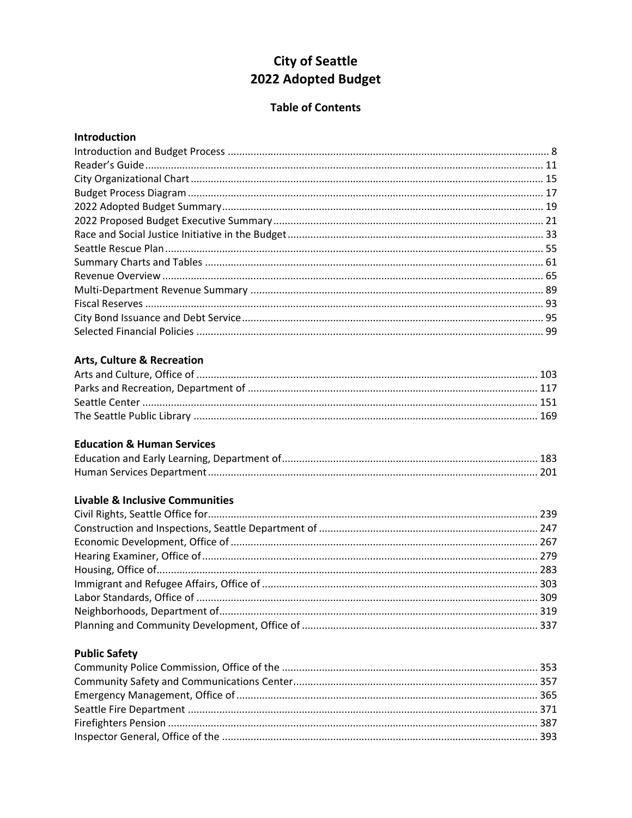# **City of Seattle** 2022 Adopted Budget

#### **Table of Contents**

#### Introduction

### **Arts, Culture & Recreation**

#### **Education & Human Services**

### **Livable & Inclusive Communities**

### **Public Safety**